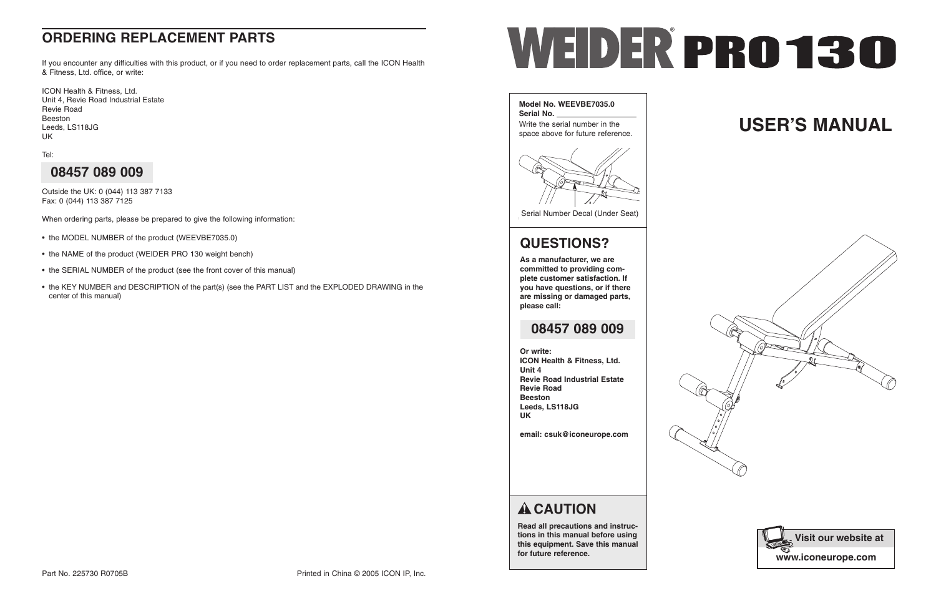If you encounter any difficulties with this product, or if you need to order replacement parts, call the ICON Health & Fitness, Ltd. office, or write:

ICON Health & Fitness, Ltd. Unit 4, Revie Road Industrial Estate Revie Road Beeston Leeds, LS118JG UK

Tel:

Outside the UK: 0 (044) 113 387 7133 Fax: 0 (044) 113 387 7125

When ordering parts, please be prepared to give the following information:

- the MODEL NUMBER of the product (WEEVBE7035.0)
- the NAME of the product (WEIDER PRO 130 weight bench)
- the SERIAL NUMBER of the product (see the front cover of this manual)
- the KEY NUMBER and DESCRIPTION of the part(s) (see the PART LIST and the EXPLODED DRAWING in the center of this manual)



### **08457 089 009**

### **ORDERING REPLACEMENT PARTS**



**Read all precautions and instructions in this manual before using this equipment. Save this manual for future reference.**





Serial Number Decal (Under Seat)

# **USER'S MANUAL**



### **QUESTIONS?**

**As a manufacturer, we are committed to providing complete customer satisfaction. If you have questions, or if there are missing or damaged parts, please call:**

**Or write:**

**ICON Health & Fitness, Ltd. Unit 4 Revie Road Industrial Estate Revie Road Beeston Leeds, LS118JG UK**

**email: csuk@iconeurope.com**

## **A** CAUTION

### **08457 089 009**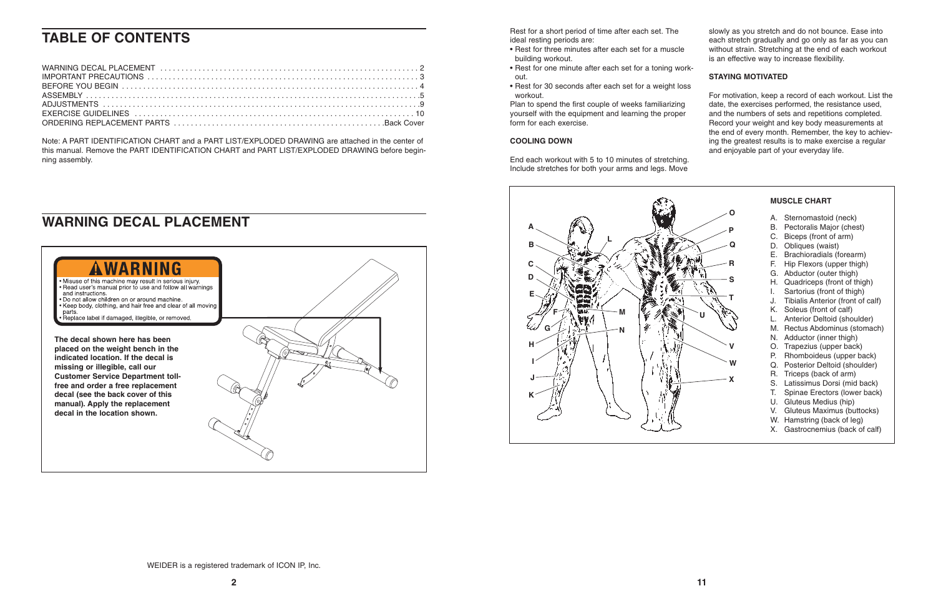Rest for a short period of time after each set. The ideal resting periods are:

- Rest for three minutes after each set for a muscle building workout.
- Rest for one minute after each set for a toning workout.
- Rest for 30 seconds after each set for a weight loss workout.

Plan to spend the first couple of weeks familiarizing yourself with the equipment and learning the proper form for each exercise.

#### **COOLING DOWN**

End each workout with 5 to 10 minutes of stretching. Include stretches for both your arms and legs. Move slowly as you stretch and do not bounce. Ease into each stretch gradually and go only as far as you can without strain. Stretching at the end of each workout is an effective way to increase flexibility.

### **STAYING MOTIVATED**

For motivation, keep a record of each workout. List the date, the exercises performed, the resistance used, and the numbers of sets and repetitions completed. Record your weight and key body measurements at the end of every month. Remember, the key to achieving the greatest results is to make exercise a regular and enjoyable part of your everyday life.





#### **MUSCLE CHART**

- A. Sternomastoid (neck)
- B. Pectoralis Major (chest)
- C. Biceps (front of arm)
- D. Obliques (waist)
- E. Brachioradials (forearm)
- F. Hip Flexors (upper thigh)
- G. Abductor (outer thigh)
- H. Quadriceps (front of thigh)
- I. Sartorius (front of thigh)
- J. Tibialis Anterior (front of calf)
- K. Soleus (front of calf)
- L. Anterior Deltoid (shoulder)
- M. Rectus Abdominus (stomach)
- N. Adductor (inner thigh)
- O. Trapezius (upper back)
- P. Rhomboideus (upper back)
- Q. Posterior Deltoid (shoulder)
- R. Triceps (back of arm)
- S. Latissimus Dorsi (mid back)
- T. Spinae Erectors (lower back)
- U. Gluteus Medius (hip)
- V. Gluteus Maximus (buttocks)
- W. Hamstring (back of leg)
- X. Gastrocnemius (back of calf)

### **WARNING DECAL PLACEMENT**

Note: A PART IDENTIFICATION CHART and a PART LIST/EXPLODED DRAWING are attached in the center of this manual. Remove the PART IDENTIFICATION CHART and PART LIST/EXPLODED DRAWING before beginning assembly.

WEIDER is a registered trademark of ICON IP, Inc.

## **TABLE OF CONTENTS**

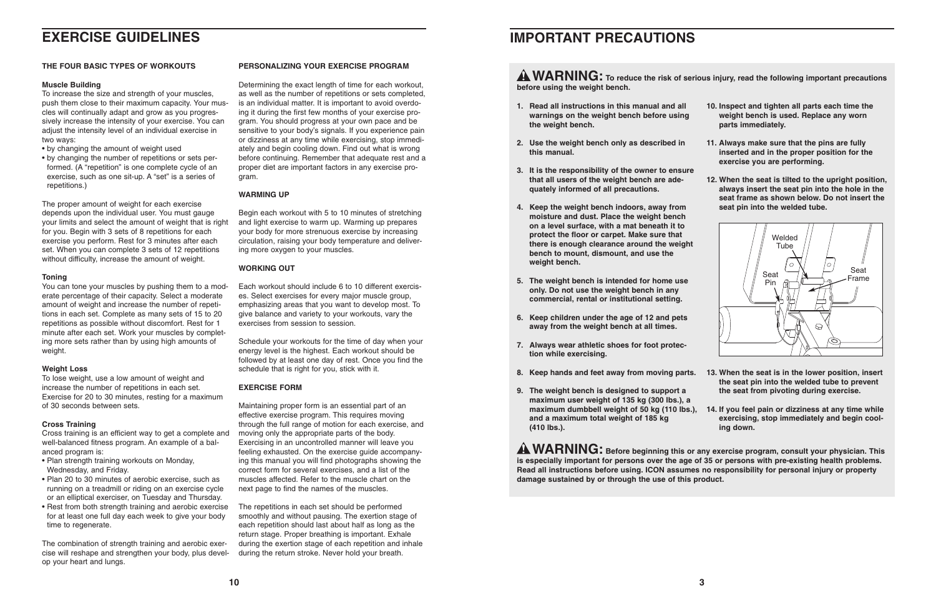### **EXERCISE GUIDELINES**

#### **THE FOUR BASIC TYPES OF WORKOUTS**

#### **Muscle Building**

To increase the size and strength of your muscles, push them close to their maximum capacity. Your muscles will continually adapt and grow as you progressively increase the intensity of your exercise. You can adjust the intensity level of an individual exercise in two ways:

- by changing the amount of weight used
- by changing the number of repetitions or sets performed. (A "repetition" is one complete cycle of an exercise, such as one sit-up. A "set" is a series of repetitions.)

The proper amount of weight for each exercise depends upon the individual user. You must gauge your limits and select the amount of weight that is right for you. Begin with 3 sets of 8 repetitions for each exercise you perform. Rest for 3 minutes after each set. When you can complete 3 sets of 12 repetitions without difficulty, increase the amount of weight.

#### **Toning**

You can tone your muscles by pushing them to a moderate percentage of their capacity. Select a moderate amount of weight and increase the number of repetitions in each set. Complete as many sets of 15 to 20 repetitions as possible without discomfort. Rest for 1 minute after each set. Work your muscles by completing more sets rather than by using high amounts of weight.

#### **Weight Loss**

To lose weight, use a low amount of weight and increase the number of repetitions in each set. Exercise for 20 to 30 minutes, resting for a maximum of 30 seconds between sets.

#### **Cross Training**

Cross training is an efficient way to get a complete and well-balanced fitness program. An example of a balanced program is:

- Plan strength training workouts on Monday, Wednesday, and Friday.
- Plan 20 to 30 minutes of aerobic exercise, such as running on a treadmill or riding on an exercise cycle or an elliptical exerciser, on Tuesday and Thursday.
- Rest from both strength training and aerobic exercise for at least one full day each week to give your body time to regenerate.

The combination of strength training and aerobic exercise will reshape and strengthen your body, plus develop your heart and lungs.

#### **PERSONALIZING YOUR EXERCISE PROGRAM**

Determining the exact length of time for each workout, as well as the number of repetitions or sets completed, is an individual matter. It is important to avoid overdoing it during the first few months of your exercise program. You should progress at your own pace and be sensitive to your body's signals. If you experience pain or dizziness at any time while exercising, stop immediately and begin cooling down. Find out what is wrong before continuing. Remember that adequate rest and a proper diet are important factors in any exercise program.

#### **WARMING UP**

Begin each workout with 5 to 10 minutes of stretching and light exercise to warm up. Warming up prepares your body for more strenuous exercise by increasing circulation, raising your body temperature and delivering more oxygen to your muscles.

#### **WORKING OUT**

**A WARNING:** To reduce the risk of serious injury, read the following important precautions **before using the weight bench.**

Each workout should include 6 to 10 different exercises. Select exercises for every major muscle group, emphasizing areas that you want to develop most. To give balance and variety to your workouts, vary the exercises from session to session.

> **A WARNING:** Before beginning this or any exercise program, consult your physician. This **is especially important for persons over the age of 35 or persons with pre-existing health problems. Read all instructions before using. ICON assumes no responsibility for personal injury or property damage sustained by or through the use of this product.**

Schedule your workouts for the time of day when your energy level is the highest. Each workout should be followed by at least one day of rest. Once you find the schedule that is right for you, stick with it.

#### **EXERCISE FORM**

Maintaining proper form is an essential part of an effective exercise program. This requires moving through the full range of motion for each exercise, and moving only the appropriate parts of the body. Exercising in an uncontrolled manner will leave you feeling exhausted. On the exercise guide accompanying this manual you will find photographs showing the correct form for several exercises, and a list of the muscles affected. Refer to the muscle chart on the next page to find the names of the muscles.

The repetitions in each set should be performed smoothly and without pausing. The exertion stage of each repetition should last about half as long as the return stage. Proper breathing is important. Exhale during the exertion stage of each repetition and inhale during the return stroke. Never hold your breath.

### **IMPORTANT PRECAUTIONS**

- **1. Read all instructions in this manual and all warnings on the weight bench before using the weight bench.**
- **2. Use the weight bench only as described in this manual.**
- **3. It is the responsibility of the owner to ensure that all users of the weight bench are adequately informed of all precautions.**
- **4. Keep the weight bench indoors, away from moisture and dust. Place the weight bench on a level surface, with a mat beneath it to protect the floor or carpet. Make sure that there is enough clearance around the weight bench to mount, dismount, and use the weight bench.**
- **5. The weight bench is intended for home use only. Do not use the weight bench in any commercial, rental or institutional setting.**
- **6. Keep children under the age of 12 and pets away from the weight bench at all times.**
- **7. Always wear athletic shoes for foot protection while exercising.**
- **8. Keep hands and feet away from moving parts. 13. When the seat is in the lower position, insert the seat pin into the welded tube to prevent the seat from pivoting during exercise.**
- **9. The weight bench is designed to support a maximum user weight of 135 kg (300 lbs.), a maximum dumbbell weight of 50 kg (110 lbs.), 14. If you feel pain or dizziness at any time while and a maximum total weight of 185 kg (410 lbs.). exercising, stop immediately and begin cooling down.**
- **10. Inspect and tighten all parts each time the weight bench is used. Replace any worn parts immediately.**
- **11. Always make sure that the pins are fully inserted and in the proper position for the exercise you are performing.**
- 
- **12. When the seat is tilted to the upright position, always insert the seat pin into the hole in the seat frame as shown below. Do not insert the seat pin into the welded tube.**



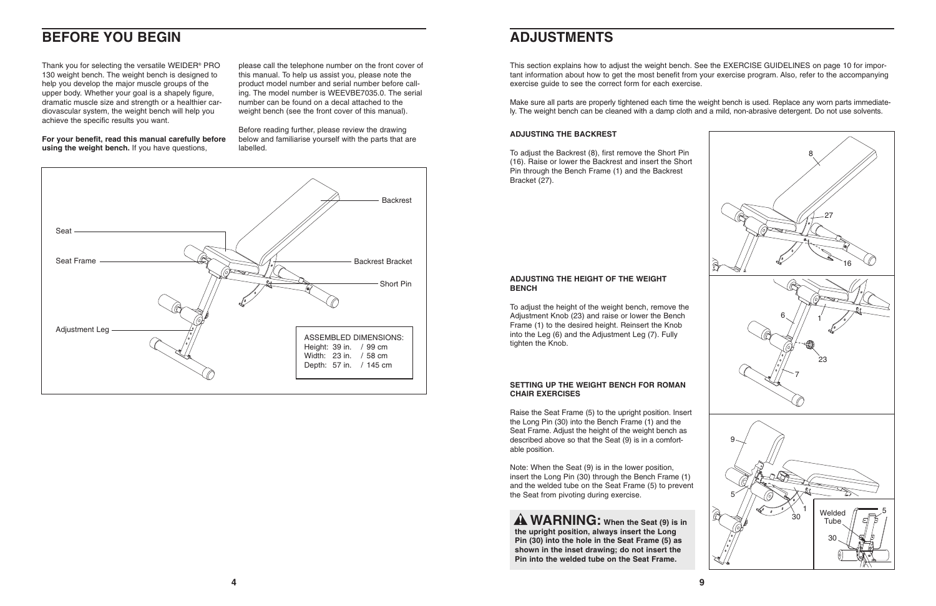This section explains how to adjust the weight bench. See the EXERCISE GUIDELINES on page 10 for important information about how to get the most benefit from your exercise program. Also, refer to the accompanying exercise guide to see the correct form for each exercise.

Make sure all parts are properly tightened each time the weight bench is used. Replace any worn parts immediately. The weight bench can be cleaned with a damp cloth and a mild, non-abrasive detergent. Do not use solvents.

#### **ADJUSTING THE BACKREST**

To adjust the Backrest (8), first remove the Short Pin (16). Raise or lower the Backrest and insert the Short Pin through the Bench Frame (1) and the Backrest Bracket (27).

#### **ADJUSTING THE HEIGHT OF THE WEIGHT BENCH**

To adjust the height of the weight bench, remove the Adjustment Knob (23) and raise or lower the Bench Frame (1) to the desired height. Reinsert the Knob into the Leg (6) and the Adjustment Leg (7). Fully tighten the Knob.

#### **SETTING UP THE WEIGHT BENCH FOR ROMAN CHAIR EXERCISES**

Raise the Seat Frame (5) to the upright position. Insert the Long Pin (30) into the Bench Frame (1) and the Seat Frame. Adjust the height of the weight bench as described above so that the Seat (9) is in a comfortable position.



Note: When the Seat (9) is in the lower position, insert the Long Pin (30) through the Bench Frame (1) and the welded tube on the Seat Frame (5) to prevent the Seat from pivoting during exercise.

**WARNING: When the Seat (9) is in the upright position, always insert the Long Pin (30) into the hole in the Seat Frame (5) as shown in the inset drawing; do not insert the Pin into the welded tube on the Seat Frame.**

### **ADJUSTMENTS**



### **BEFORE YOU BEGIN**

Thank you for selecting the versatile WEIDER® PRO 130 weight bench. The weight bench is designed to help you develop the major muscle groups of the upper body. Whether your goal is a shapely figure, dramatic muscle size and strength or a healthier cardiovascular system, the weight bench will help you achieve the specific results you want.

**For your benefit, read this manual carefully before using the weight bench.** If you have questions,

please call the telephone number on the front cover of this manual. To help us assist you, please note the product model number and serial number before calling. The model number is WEEVBE7035.0. The serial number can be found on a decal attached to the weight bench (see the front cover of this manual).

Before reading further, please review the drawing below and familiarise yourself with the parts that are labelled.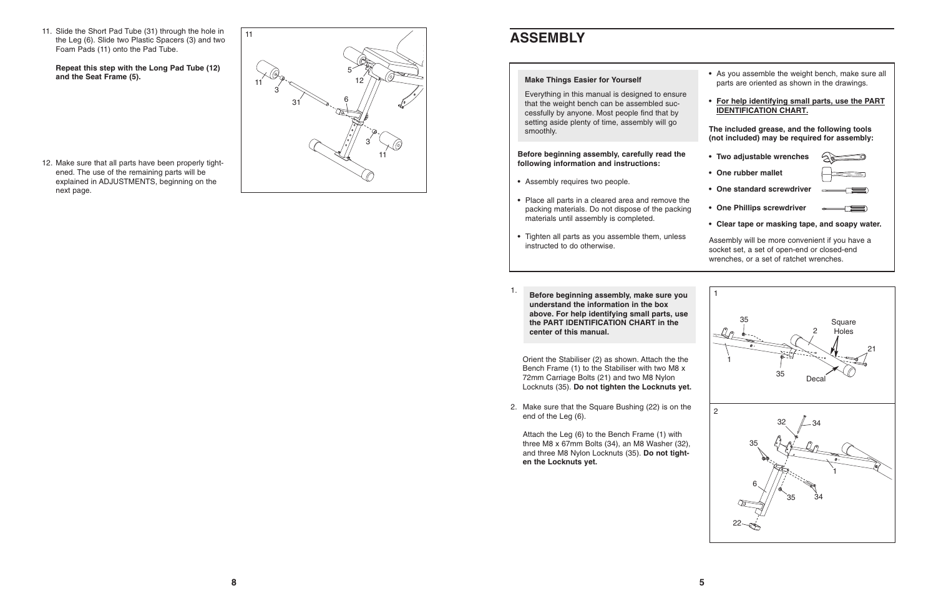11. Slide the Short Pad Tube (31) through the hole in the Leg (6). Slide two Plastic Spacers (3) and two Foam Pads (11) onto the Pad Tube.

**Repeat this step with the Long Pad Tube (12) and the Seat Frame (5).**

12. Make sure that all parts have been properly tightened. The use of the remaining parts will be explained in ADJUSTMENTS, beginning on the next page.



### **ASSEMBLY**

**Before beginning assembly, carefully read the following information and instructions:**



#### **Make Things Easier for Yourself**

- **•** Assembly requires two people.
- **•** Place all parts in a cleared area and remove the packing materials. Do not dispose of the packing materials until assembly is completed.
- **•** Tighten all parts as you assemble them, unless instructed to do otherwise.
- 1. **Before beginning assembly, make sure you understand the information in the box above. For help identifying small parts, use the PART IDENTIFICATION CHART in the center of this manual.**

Everything in this manual is designed to ensure that the weight bench can be assembled successfully by anyone. Most people find that by setting aside plenty of time, assembly will go smoothly.

Orient the Stabiliser (2) as shown. Attach the the Bench Frame (1) to the Stabiliser with two M8 x 72mm Carriage Bolts (21) and two M8 Nylon Locknuts (35). **Do not tighten the Locknuts yet.**

2. Make sure that the Square Bushing (22) is on the end of the Leg (6).



Attach the Leg (6) to the Bench Frame (1) with three M8 x 67mm Bolts (34), an M8 Washer (32), and three M8 Nylon Locknuts (35). **Do not tighten the Locknuts yet.**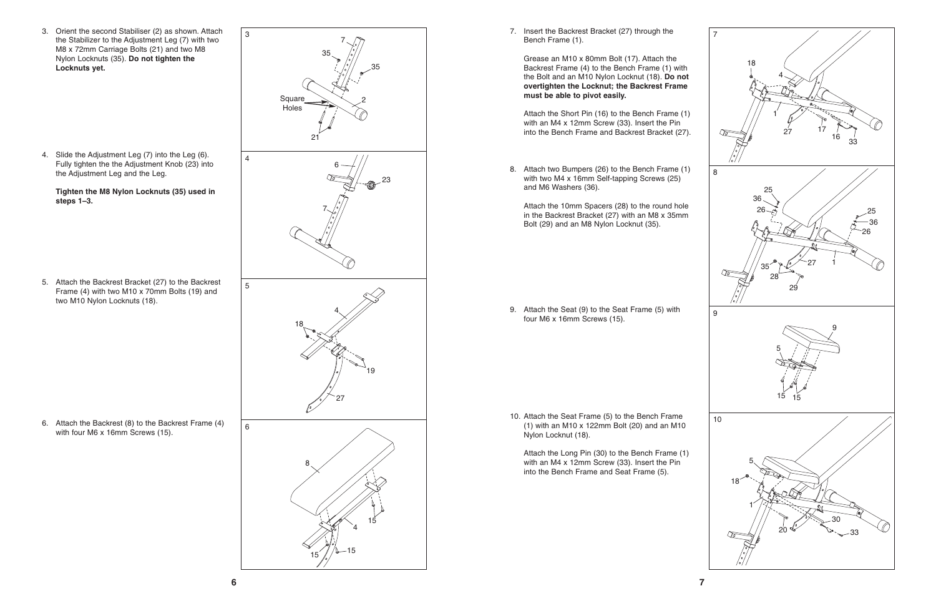**7**

7. Insert the Backrest Bracket (27) through the Bench Frame (1).

Grease an M10 x 80mm Bolt (17). Attach the Backrest Frame (4) to the Bench Frame (1) with the Bolt and an M10 Nylon Locknut (18). **Do not overtighten the Locknut; the Backrest Frame must be able to pivot easily.**

Attach the Short Pin (16) to the Bench Frame (1) with an M4 x 12mm Screw (33). Insert the Pin into the Bench Frame and Backrest Bracket (27).

9. Attach the Seat (9) to the Seat Frame (5) with four M6 x 16mm Screws (15).

10. Attach the Seat Frame (5) to the Bench Frame (1) with an M10 x 122mm Bolt (20) and an M10 Nylon Locknut (18).

Attach the Long Pin (30) to the Bench Frame (1) with an M4 x 12mm Screw (33). Insert the Pin into the Bench Frame and Seat Frame (5).

8. Attach two Bumpers (26) to the Bench Frame (1) with two M4 x 16mm Self-tapping Screws (25) and M6 Washers (36).

Attach the 10mm Spacers (28) to the round hole in the Backrest Bracket (27) with an M8 x 35mm Bolt (29) and an M8 Nylon Locknut (35).



3. Orient the second Stabiliser (2) as shown. Attach the Stabilizer to the Adjustment Leg (7) with two M8 x 72mm Carriage Bolts (21) and two M8 Nylon Locknuts (35). **Do not tighten the Locknuts yet.**

5. Attach the Backrest Bracket (27) to the Backrest Frame (4) with two M10 x 70mm Bolts (19) and two M10 Nylon Locknuts (18).

6. Attach the Backrest (8) to the Backrest Frame (4) with four M6 x 16mm Screws (15).

4. Slide the Adjustment Leg (7) into the Leg (6). Fully tighten the the Adjustment Knob (23) into the Adjustment Leg and the Leg.

**Tighten the M8 Nylon Locknuts (35) used in steps 1–3.**

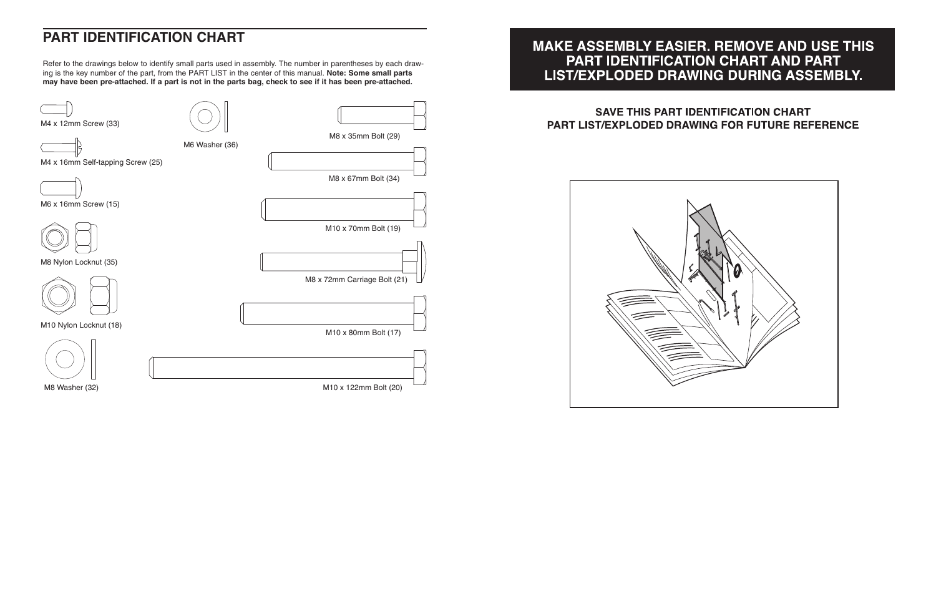

### **MAKE ASSEMBLY EASIER. REMOVE AND USE THIS** PART IDENTIFICATION CHART AND PART LIST/EXPLODED DRAWING DURING ASSEMBLY.

### **SAVE THIS PART IDENTIFICATION CHART** PART LIST/EXPLODED DRAWING FOR FUTURE REFERENCE



### **PART IDENTIFICATION CHART**

Refer to the drawings below to identify small parts used in assembly. The number in parentheses by each drawing is the key number of the part, from the PART LIST in the center of this manual. **Note: Some small parts may have been pre-attached. If a part is not in the parts bag, check to see if it has been pre-attached.**